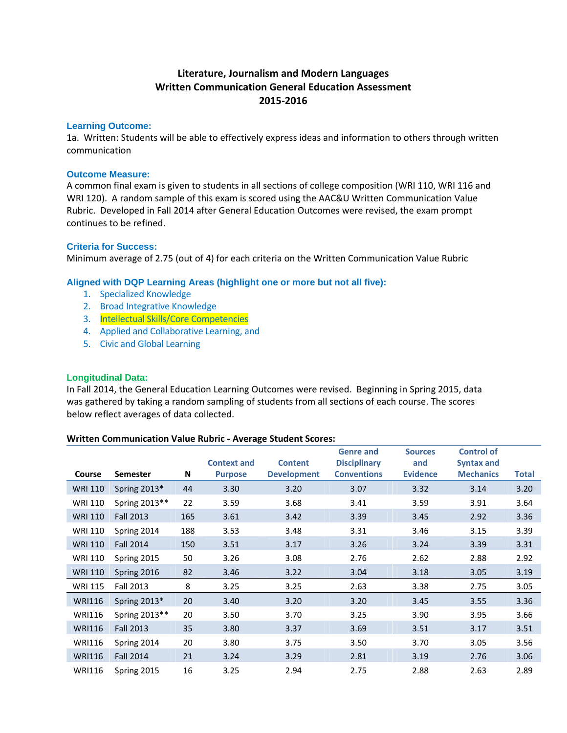# **Literature, Journalism and Modern Languages Written Communication General Education Assessment 2015‐2016**

#### **Learning Outcome:**

1a. Written: Students will be able to effectively express ideas and information to others through written communication

#### **Outcome Measure:**

A common final exam is given to students in all sections of college composition (WRI 110, WRI 116 and WRI 120). A random sample of this exam is scored using the AAC&U Written Communication Value Rubric. Developed in Fall 2014 after General Education Outcomes were revised, the exam prompt continues to be refined.

## **Criteria for Success:**

Minimum average of 2.75 (out of 4) for each criteria on the Written Communication Value Rubric

## **Aligned with DQP Learning Areas (highlight one or more but not all five):**

- 1. Specialized Knowledge
- 2. Broad Integrative Knowledge
- 3. Intellectual Skills/Core Competencies
- 4. Applied and Collaborative Learning, and
- 5. Civic and Global Learning

#### **Longitudinal Data:**

In Fall 2014, the General Education Learning Outcomes were revised. Beginning in Spring 2015, data was gathered by taking a random sampling of students from all sections of each course. The scores below reflect averages of data collected.

#### **Written Communication Value Rubric ‐ Average Student Scores:**

|                |                  |     | <b>Context and</b> | <b>Content</b>     | <b>Genre</b> and<br><b>Disciplinary</b> | <b>Sources</b><br>and | <b>Control of</b><br><b>Syntax and</b> |              |
|----------------|------------------|-----|--------------------|--------------------|-----------------------------------------|-----------------------|----------------------------------------|--------------|
| Course         | <b>Semester</b>  | N   | <b>Purpose</b>     | <b>Development</b> | <b>Conventions</b>                      | <b>Evidence</b>       | <b>Mechanics</b>                       | <b>Total</b> |
| <b>WRI 110</b> | Spring 2013*     | 44  | 3.30               | 3.20               | 3.07                                    | 3.32                  | 3.14                                   | 3.20         |
| WRI 110        | Spring 2013**    | 22  | 3.59               | 3.68               | 3.41                                    | 3.59                  | 3.91                                   | 3.64         |
| <b>WRI 110</b> | <b>Fall 2013</b> | 165 | 3.61               | 3.42               | 3.39                                    | 3.45                  | 2.92                                   | 3.36         |
| WRI 110        | Spring 2014      | 188 | 3.53               | 3.48               | 3.31                                    | 3.46                  | 3.15                                   | 3.39         |
| <b>WRI 110</b> | <b>Fall 2014</b> | 150 | 3.51               | 3.17               | 3.26                                    | 3.24                  | 3.39                                   | 3.31         |
| WRI 110        | Spring 2015      | 50  | 3.26               | 3.08               | 2.76                                    | 2.62                  | 2.88                                   | 2.92         |
| <b>WRI 110</b> | Spring 2016      | 82  | 3.46               | 3.22               | 3.04                                    | 3.18                  | 3.05                                   | 3.19         |
| <b>WRI 115</b> | Fall 2013        | 8   | 3.25               | 3.25               | 2.63                                    | 3.38                  | 2.75                                   | 3.05         |
| <b>WRI116</b>  | Spring $2013*$   | 20  | 3.40               | 3.20               | 3.20                                    | 3.45                  | 3.55                                   | 3.36         |
| <b>WRI116</b>  | Spring 2013**    | 20  | 3.50               | 3.70               | 3.25                                    | 3.90                  | 3.95                                   | 3.66         |
| <b>WRI116</b>  | <b>Fall 2013</b> | 35  | 3.80               | 3.37               | 3.69                                    | 3.51                  | 3.17                                   | 3.51         |
| <b>WRI116</b>  | Spring 2014      | 20  | 3.80               | 3.75               | 3.50                                    | 3.70                  | 3.05                                   | 3.56         |
| <b>WRI116</b>  | <b>Fall 2014</b> | 21  | 3.24               | 3.29               | 2.81                                    | 3.19                  | 2.76                                   | 3.06         |
| <b>WRI116</b>  | Spring 2015      | 16  | 3.25               | 2.94               | 2.75                                    | 2.88                  | 2.63                                   | 2.89         |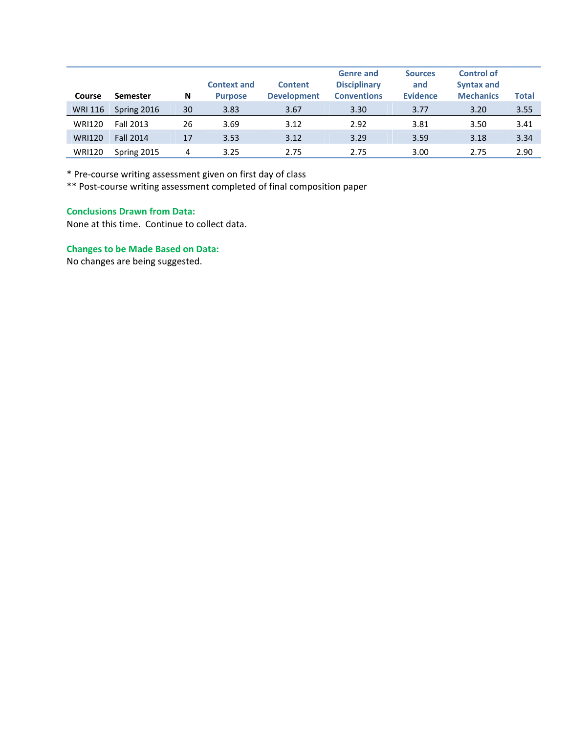| Course         | Semester         | N  | <b>Context and</b><br><b>Purpose</b> | <b>Content</b><br><b>Development</b> | <b>Genre and</b><br><b>Disciplinary</b><br><b>Conventions</b> | <b>Sources</b><br>and<br><b>Evidence</b> | <b>Control of</b><br><b>Syntax and</b><br><b>Mechanics</b> | <b>Total</b> |
|----------------|------------------|----|--------------------------------------|--------------------------------------|---------------------------------------------------------------|------------------------------------------|------------------------------------------------------------|--------------|
| <b>WRI 116</b> | Spring 2016      | 30 | 3.83                                 | 3.67                                 | 3.30                                                          | 3.77                                     | 3.20                                                       | 3.55         |
| <b>WRI120</b>  | Fall 2013        | 26 | 3.69                                 | 3.12                                 | 2.92                                                          | 3.81                                     | 3.50                                                       | 3.41         |
| <b>WRI120</b>  | <b>Fall 2014</b> | 17 | 3.53                                 | 3.12                                 | 3.29                                                          | 3.59                                     | 3.18                                                       | 3.34         |
| <b>WRI120</b>  | Spring 2015      | 4  | 3.25                                 | 2.75                                 | 2.75                                                          | 3.00                                     | 2.75                                                       | 2.90         |

\* Pre‐course writing assessment given on first day of class

\*\* Post‐course writing assessment completed of final composition paper

## **Conclusions Drawn from Data:**

None at this time. Continue to collect data.

# **Changes to be Made Based on Data:**

No changes are being suggested.